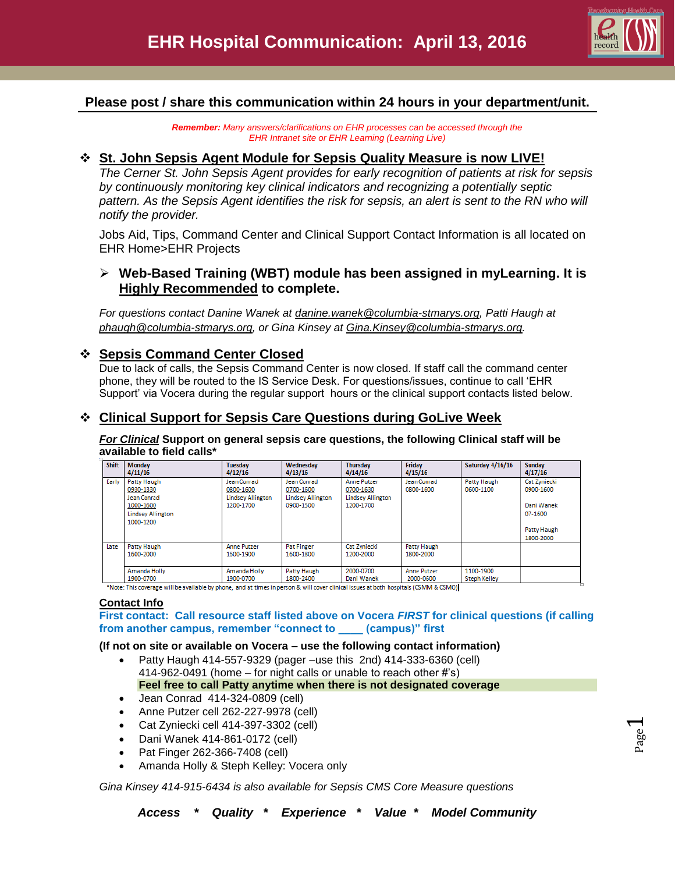

# **Please post / share this communication within 24 hours in your department/unit.**

*Remember: Many answers/clarifications on EHR processes can be accessed through the EHR Intranet site or EHR Learning (Learning Live)*

### **St. John Sepsis Agent Module for Sepsis Quality Measure is now LIVE!**

*The Cerner St. John Sepsis Agent provides for early recognition of patients at risk for sepsis by continuously monitoring key clinical indicators and recognizing a potentially septic pattern. As the Sepsis Agent identifies the risk for sepsis, an alert is sent to the RN who will notify the provider.* 

Jobs Aid, Tips, Command Center and Clinical Support Contact Information is all located on EHR Home>EHR Projects

# **Web-Based Training (WBT) module has been assigned in myLearning. It is Highly Recommended to complete.**

*For questions contact Danine Wanek at [danine.wanek@columbia-stmarys.org,](mailto:danine.wanek@columbia-stmarys.org) Patti Haugh at [phaugh@columbia-stmarys.org,](mailto:phaugh@columbia-stmarys.org) or Gina Kinsey at [Gina.Kinsey@columbia-stmarys.org.](mailto:Gina.Kinsey@columbia-stmarys.org)* 

### **Sepsis Command Center Closed**

Due to lack of calls, the Sepsis Command Center is now closed. If staff call the command center phone, they will be routed to the IS Service Desk. For questions/issues, continue to call 'EHR Support' via Vocera during the regular support hours or the clinical support contacts listed below.

# **Clinical Support for Sepsis Care Questions during GoLive Week**

*For Clinical* **Support on general sepsis care questions, the following Clinical staff will be available to field calls\***

| <b>Shift</b> | <b>Monday</b><br>4/11/16                                                                      | <b>Tuesday</b><br>4/12/16                                         | Wednesday<br>4/13/16                                              | <b>Thursday</b><br>4/14/16                                               | Friday<br>4/15/16               | Saturday 4/16/16                 | <b>Sunday</b><br>4/17/16                                                       |
|--------------|-----------------------------------------------------------------------------------------------|-------------------------------------------------------------------|-------------------------------------------------------------------|--------------------------------------------------------------------------|---------------------------------|----------------------------------|--------------------------------------------------------------------------------|
| Early        | Patty Haugh<br>0930-1330<br>Jean Conrad<br>1000-1600<br><b>Lindsey Allington</b><br>1000-1200 | Jean Conrad<br>0800-1600<br><b>Lindsey Allington</b><br>1200-1700 | Jean Conrad<br>0700-1600<br><b>Lindsey Allington</b><br>0900-1500 | <b>Anne Putzer</b><br>0700-1630<br><b>Lindsey Allington</b><br>1200-1700 | Jean Conrad<br>0800-1600        | Patty Haugh<br>0600-1100         | Cat Zyniecki<br>0900-1600<br>Dani Wanek<br>07-1600<br>Patty Haugh<br>1800-2000 |
| Late         | Patty Haugh<br>1600-2000                                                                      | <b>Anne Putzer</b><br>1600-1900                                   | <b>Pat Finger</b><br>1600-1800                                    | Cat Zyniecki<br>1200-2000                                                | Patty Haugh<br>1800-2000        |                                  |                                                                                |
|              | Amanda Holly<br>1900-0700                                                                     | Amanda Holly<br>1900-0700                                         | Patty Haugh<br>1800-2400                                          | 2000-0700<br>Dani Wanek                                                  | <b>Anne Putzer</b><br>2000-0600 | 1100-1900<br><b>Steph Kelley</b> |                                                                                |

\*Note: This coverage will be available by phone, and at times in person & will cover clinical issues at both hospitals (CSMM & CSMO)

#### **Contact Info**

**First contact: Call resource staff listed above on Vocera** *FIRST* **for clinical questions (if calling from another campus, remember "connect to \_\_\_\_ (campus)" first**

#### **(If not on site or available on Vocera – use the following contact information)**

- Patty Haugh 414-557-9329 (pager –use this 2nd) 414-333-6360 (cell) 414-962-0491 (home – for night calls or unable to reach other #'s) **Feel free to call Patty anytime when there is not designated coverage**
- Jean Conrad 414-324-0809 (cell)
- Anne Putzer cell 262-227-9978 (cell)
- Cat Zyniecki cell 414-397-3302 (cell)
- Dani Wanek 414-861-0172 (cell)
- Pat Finger 262-366-7408 (cell)
- Amanda Holly & Steph Kelley: Vocera only

*Gina Kinsey 414-915-6434 is also available for Sepsis CMS Core Measure questions*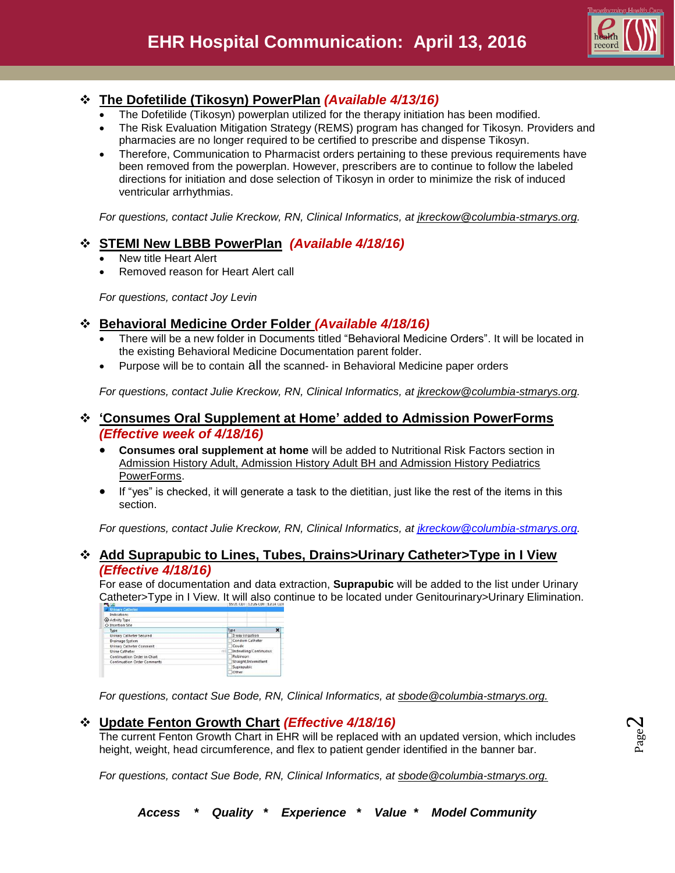

# **The Dofetilide (Tikosyn) PowerPlan** *(Available 4/13/16)*

- The Dofetilide (Tikosyn) powerplan utilized for the therapy initiation has been modified.
- The Risk Evaluation Mitigation Strategy (REMS) program has changed for Tikosyn. Providers and pharmacies are no longer required to be certified to prescribe and dispense Tikosyn.
- Therefore, Communication to Pharmacist orders pertaining to these previous requirements have been removed from the powerplan. However, prescribers are to continue to follow the labeled directions for initiation and dose selection of Tikosyn in order to minimize the risk of induced ventricular arrhythmias.

*For questions, contact Julie Kreckow, RN, Clinical Informatics, at jkreckow@columbia-stmarys.org.*

# **STEMI New LBBB PowerPlan** *(Available 4/18/16)*

- New title Heart Alert
- Removed reason for Heart Alert call

*For questions, contact Joy Levin*

### **Behavioral Medicine Order Folder** *(Available 4/18/16)*

- There will be a new folder in Documents titled "Behavioral Medicine Orders". It will be located in the existing Behavioral Medicine Documentation parent folder.
- Purpose will be to contain all the scanned- in Behavioral Medicine paper orders

*For questions, contact Julie Kreckow, RN, Clinical Informatics, at jkreckow@columbia-stmarys.org.*

### **'Consumes Oral Supplement at Home' added to Admission PowerForms** *(Effective week of 4/18/16)*

- **Consumes oral supplement at home** will be added to Nutritional Risk Factors section in Admission History Adult, Admission History Adult BH and Admission History Pediatrics PowerForms.
- If "yes" is checked, it will generate a task to the dietitian, just like the rest of the items in this section.

*For questions, contact Julie Kreckow, RN, Clinical Informatics, at [jkreckow@columbia-stmarys.org.](mailto:jkreckow@columbia-stmarys.org)*

### **Add Suprapubic to Lines, Tubes, Drains>Urinary Catheter>Type in I View**  *(Effective 4/18/16)*

For ease of documentation and data extraction, **Suprapubic** will be added to the list under Urinary Catheter>Type in I View. It will also continue to be located under Genitourinary>Urinary Elimination.

| <b>1 Urinary Catheter</b>          |                         |  |  |  |  |
|------------------------------------|-------------------------|--|--|--|--|
| Indications                        |                         |  |  |  |  |
| Activity Type                      |                         |  |  |  |  |
| O Insertion Site                   |                         |  |  |  |  |
| Type                               | ×<br>Type               |  |  |  |  |
| Urinary Catheter Secured           | 3 way irrigation        |  |  |  |  |
| Drainage System                    | Condom Catheter         |  |  |  |  |
| Urinary Catheter Comment           | Coude                   |  |  |  |  |
| Urine Catheter                     | Indwelling/Continuous   |  |  |  |  |
| Continuation Order in Chart        | Robinson                |  |  |  |  |
| <b>Continuation Order Comments</b> | Straight/Intermittent   |  |  |  |  |
|                                    | Suprapubic<br>Children. |  |  |  |  |
|                                    |                         |  |  |  |  |

*For questions, contact Sue Bode, RN, Clinical Informatics, at sbode@columbia-stmarys.org.*

### **Update Fenton Growth Chart** *(Effective 4/18/16)*

The current Fenton Growth Chart in EHR will be replaced with an updated version, which includes height, weight, head circumference, and flex to patient gender identified in the banner bar.

*For questions, contact Sue Bode, RN, Clinical Informatics, at sbode@columbia-stmarys.org.*

 $\boldsymbol{\sim}$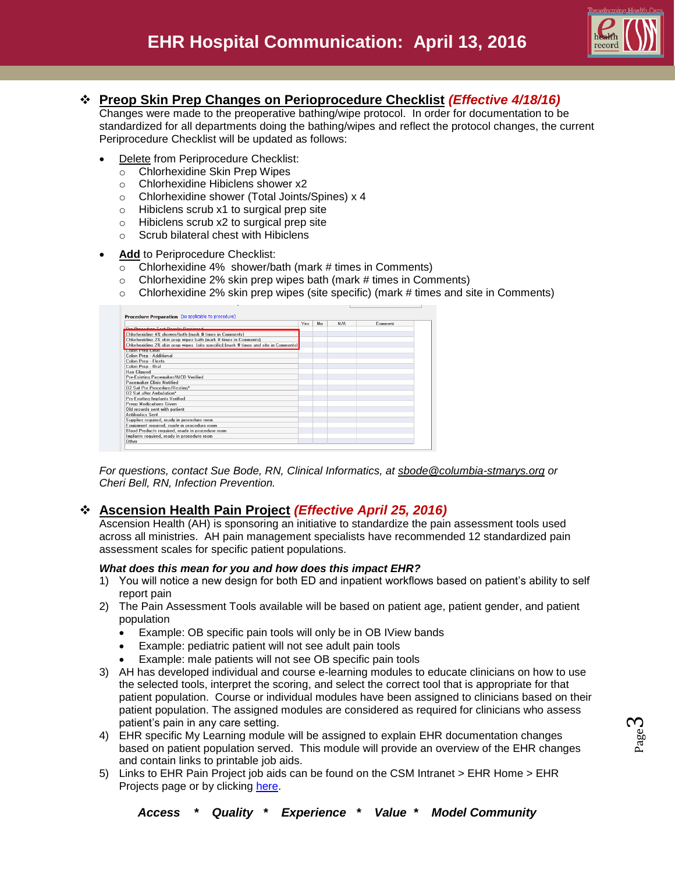

## **Preop Skin Prep Changes on Perioprocedure Checklist** *(Effective 4/18/16)*

Changes were made to the preoperative bathing/wipe protocol. In order for documentation to be standardized for all departments doing the bathing/wipes and reflect the protocol changes, the current Periprocedure Checklist will be updated as follows:

- Delete from Periprocedure Checklist:
	- o Chlorhexidine Skin Prep Wipes
	- o Chlorhexidine Hibiclens shower x2
	- o Chlorhexidine shower (Total Joints/Spines) x 4
	- o Hibiclens scrub x1 to surgical prep site
	- o Hibiclens scrub x2 to surgical prep site
	- o Scrub bilateral chest with Hibiclens

#### **Add** to Periprocedure Checklist:

- $\overline{\circ}$  Chlorhexidine 4% shower/bath (mark # times in Comments)
- $\circ$  Chlorhexidine 2% skin prep wipes bath (mark # times in Comments)
- $\circ$  Chlorhexidine 2% skin prep wipes (site specific) (mark # times and site in Comments)

|                                                                                      | Yes | No | N/A | Comment |
|--------------------------------------------------------------------------------------|-----|----|-----|---------|
| <b>Dro Proportivo Tool Possible Positioned</b>                                       |     |    |     |         |
| Chlorhexidine 4% shower/bath (mark # times in Comments)                              |     |    |     |         |
| Chlorhexidine 2% skin prep wipes bath (mark # times in Comments)                     |     |    |     |         |
| Chlorhexidine 2% skin prep wipes (site specific) (mark # times and site in Comments) |     |    |     |         |
| <b>Leolon Melo Leieni</b>                                                            |     |    |     |         |
| Colon Prep - Additional                                                              |     |    |     |         |
| Colon Prep - Fleets                                                                  |     |    |     |         |
| Colon Prep - Oral                                                                    |     |    |     |         |
| <b>Hair Clipped</b>                                                                  |     |    |     |         |
| Pre-Existing Pacemaker/AICD Verified                                                 |     |    |     |         |
| Pacemaker Clinic Notified                                                            |     |    |     |         |
| 02 Sat Pre Procedure/Resting*                                                        |     |    |     |         |
| 02 Sat after Ambulation*                                                             |     |    |     |         |
| <b>Pre-Existing Implants Verified</b>                                                |     |    |     |         |
| <b>Preop Medications Given</b>                                                       |     |    |     |         |
| Old records sent with patient                                                        |     |    |     |         |
| <b>Antibiotics Sent</b>                                                              |     |    |     |         |
| Supplies required, ready in procedure room                                           |     |    |     |         |
| Equipment required, ready in procedure room                                          |     |    |     |         |
| Blood Products required, ready in procedure room                                     |     |    |     |         |
| Implants required, ready in procedure room                                           |     |    |     |         |
| Other                                                                                |     |    |     |         |

*For questions, contact Sue Bode, RN, Clinical Informatics, at [sbode@columbia-stmarys.org](mailto:sbode@columbia-stmarys.org) or Cheri Bell, RN, Infection Prevention.*

# **Ascension Health Pain Project** *(Effective April 25, 2016)*

Ascension Health (AH) is sponsoring an initiative to standardize the pain assessment tools used across all ministries. AH pain management specialists have recommended 12 standardized pain assessment scales for specific patient populations.

#### *What does this mean for you and how does this impact EHR?*

- 1) You will notice a new design for both ED and inpatient workflows based on patient's ability to self report pain
- 2) The Pain Assessment Tools available will be based on patient age, patient gender, and patient population
	- Example: OB specific pain tools will only be in OB IView bands
	- Example: pediatric patient will not see adult pain tools
	- Example: male patients will not see OB specific pain tools
- 3) AH has developed individual and course e-learning modules to educate clinicians on how to use the selected tools, interpret the scoring, and select the correct tool that is appropriate for that patient population. Course or individual modules have been assigned to clinicians based on their patient population. The assigned modules are considered as required for clinicians who assess patient's pain in any care setting.
- 4) EHR specific My Learning module will be assigned to explain EHR documentation changes based on patient population served. This module will provide an overview of the EHR changes and contain links to printable job aids.
- 5) Links to EHR Pain Project job aids can be found on the CSM Intranet > EHR Home > EHR Projects page or by clicking [here.](http://csmintranet.columbia-stmarys.org/ehr/projects.html)

ო